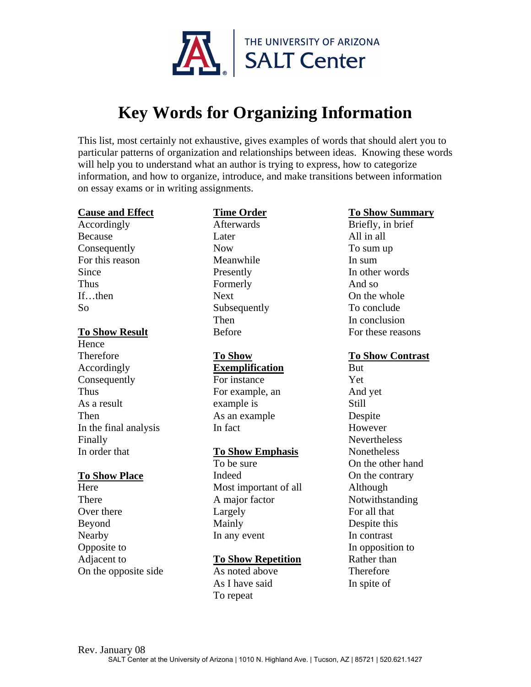

# **Key Words for Organizing Information**

This list, most certainly not exhaustive, gives examples of words that should alert you to particular patterns of organization and relationships between ideas. Knowing these words will help you to understand what an author is trying to express, how to categorize information, and how to organize, introduce, and make transitions between information on essay exams or in writing assignments.

#### **Cause and Effect**

Accordingly Because Consequently For this reason Since Thus If…then So

## **To Show Result**

**Hence Therefore** Accordingly **Consequently Thus** As a result Then In the final analysis Finally In order that

#### **To Show Place**

**Here** There Over there Beyond Nearby Opposite to Adjacent to On the opposite side

# **Time Order**

Afterwards Later Now Meanwhile Presently Formerly Next Subsequently Then Before

#### **To Show Exemplification**

For instance For example, an example is As an example In fact

## **To Show Emphasis**

To be sure Indeed Most important of all A major factor Largely Mainly In any event

## **To Show Repetition**

As noted above As I have said To repeat

# **To Show Summary**

Briefly, in brief All in all To sum up In sum In other words And so On the whole To conclude In conclusion For these reasons

## **To Show Contrast**

But Yet And yet Still Despite However Nevertheless Nonetheless On the other hand On the contrary Although Notwithstanding For all that Despite this In contrast In opposition to Rather than **Therefore** In spite of